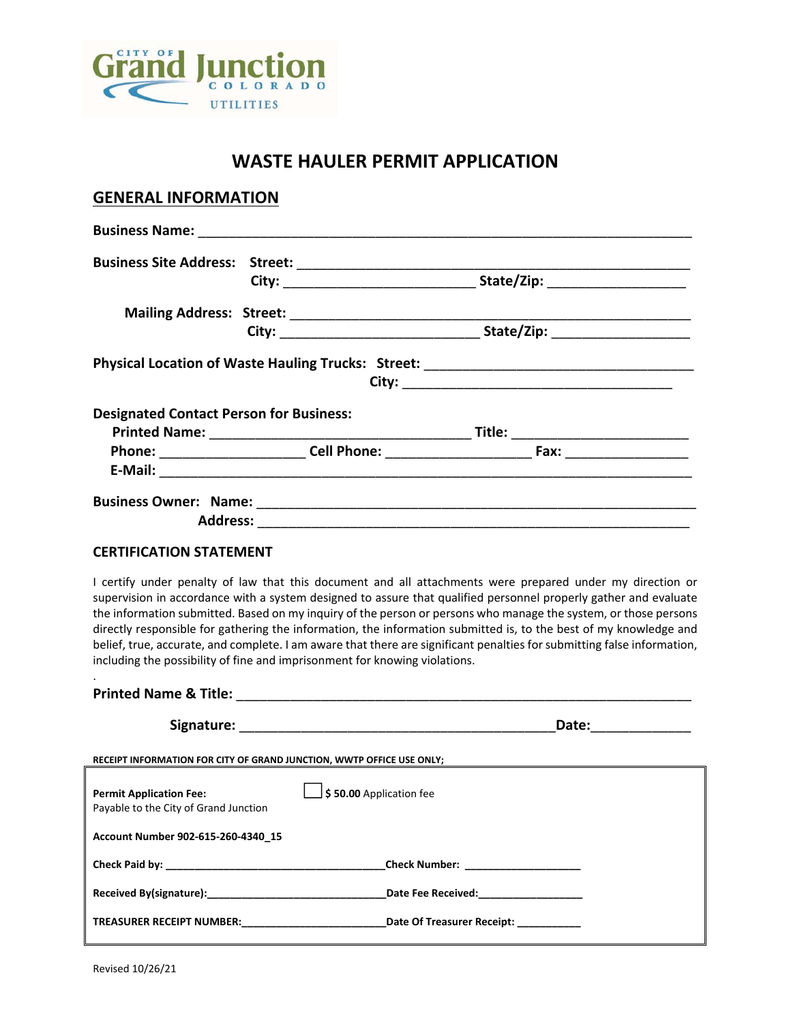

# **WASTE HAULER PERMIT APPLICATION**

### **GENERAL INFORMATION**

|                                                | Physical Location of Waste Hauling Trucks: Street: ______________________________ |  |
|------------------------------------------------|-----------------------------------------------------------------------------------|--|
|                                                |                                                                                   |  |
| <b>Designated Contact Person for Business:</b> |                                                                                   |  |
|                                                | Title: __________________________                                                 |  |
|                                                | Phone: Cell Phone: Cell Phone: Fax:                                               |  |
|                                                |                                                                                   |  |
|                                                |                                                                                   |  |
| <b>Address:</b>                                |                                                                                   |  |

#### **CERTIFICATION STATEMENT**

I certify under penalty of law that this document and all attachments were prepared under my direction or supervision in accordance with a system designed to assure that qualified personnel properly gather and evaluate the information submitted. Based on my inquiry of the person or persons who manage the system, or those persons directly responsible for gathering the information, the information submitted is, to the best of my knowledge and belief, true, accurate, and complete. I am aware that there are significant penalties for submitting false information, including the possibility of fine and imprisonment for knowing violations.

|                                                                                                                                                                                                                                | Date:<br><u> 1986 - Jan Stein Harry Barns</u> |
|--------------------------------------------------------------------------------------------------------------------------------------------------------------------------------------------------------------------------------|-----------------------------------------------|
| RECEIPT INFORMATION FOR CITY OF GRAND JUNCTION, WWTP OFFICE USE ONLY;                                                                                                                                                          |                                               |
| \$50.00 Application fee<br><b>Permit Application Fee:</b><br>Payable to the City of Grand Junction                                                                                                                             |                                               |
| Account Number 902-615-260-4340 15                                                                                                                                                                                             |                                               |
|                                                                                                                                                                                                                                | _Check Number: _____________________          |
| Received By(signature): Note that the set of the set of the set of the set of the set of the set of the set of the set of the set of the set of the set of the set of the set of the set of the set of the set of the set of t | Date Fee Received:___________________         |
| TREASURER RECEIPT NUMBER: THE STATE Of Treasurer Receipt:                                                                                                                                                                      |                                               |

.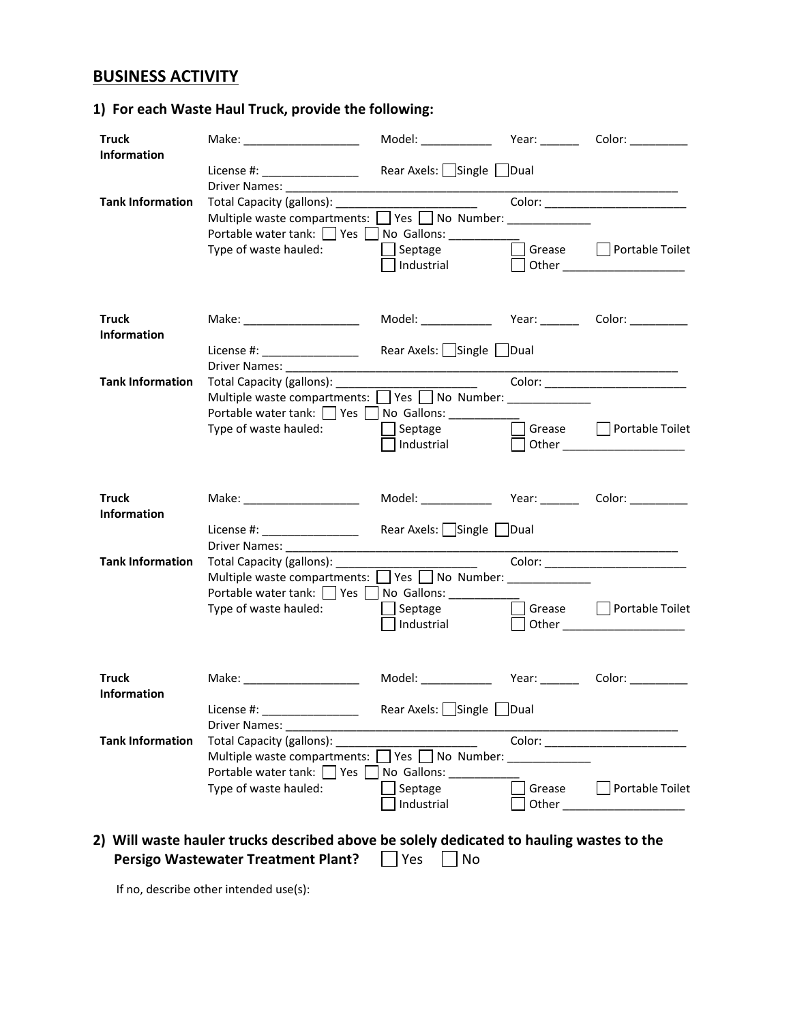# **BUSINESS ACTIVITY**

## **1) For each Waste Haul Truck, provide the following:**

| <b>Truck</b>            | Make: ______________________                                                                                  |                             |                  |                                                                            |
|-------------------------|---------------------------------------------------------------------------------------------------------------|-----------------------------|------------------|----------------------------------------------------------------------------|
| <b>Information</b>      | License #: ___________________                                                                                | Rear Axels:   Single   Dual |                  | the control of the control of the control of the control of the control of |
| <b>Tank Information</b> | Total Capacity (gallons): _______                                                                             |                             |                  |                                                                            |
|                         | Multiple waste compartments: Ves No Number: _____________                                                     |                             |                  |                                                                            |
|                         | Portable water tank:   Yes   No Gallons: ________                                                             |                             |                  |                                                                            |
|                         | Type of waste hauled:                                                                                         | Septage<br>Industrial       |                  | □ Grease □ Portable Toilet                                                 |
|                         |                                                                                                               |                             |                  |                                                                            |
| <b>Truck</b>            | Make: _______________________                                                                                 |                             |                  |                                                                            |
| <b>Information</b>      |                                                                                                               |                             |                  |                                                                            |
|                         | License #: ____________________<br>Driver Names: _______________                                              | Rear Axels: Single Dual     |                  |                                                                            |
| <b>Tank Information</b> | Total Capacity (gallons): ______                                                                              |                             |                  |                                                                            |
|                         | Multiple waste compartments: Ves No Number: ____________                                                      |                             |                  |                                                                            |
|                         | Portable water tank: Ves No Gallons: _________                                                                |                             |                  |                                                                            |
|                         | Type of waste hauled:                                                                                         | Septage                     |                  | □ Grease □ Portable Toilet                                                 |
|                         |                                                                                                               | Industrial                  |                  |                                                                            |
| <b>Truck</b>            | Make: _______________________                                                                                 |                             |                  |                                                                            |
| <b>Information</b>      |                                                                                                               |                             |                  |                                                                            |
|                         | License #: ___________________                                                                                | Rear Axels: Single Dual     |                  |                                                                            |
| <b>Tank Information</b> |                                                                                                               |                             |                  | Color: ________________________                                            |
|                         | Multiple waste compartments: Similarly No Number: Similarly Multiple waste compartments: Similarly No Number: |                             |                  |                                                                            |
|                         | Portable water tank: Ves No Gallons: _________                                                                |                             |                  |                                                                            |
|                         | Type of waste hauled:                                                                                         | $\Box$ Septage              | Grease<br>$\Box$ | Portable Toilet                                                            |
|                         |                                                                                                               | Industrial                  |                  | Other ________________________                                             |
| <b>Truck</b>            | Make: _______________________                                                                                 |                             |                  |                                                                            |
| Information             |                                                                                                               |                             |                  |                                                                            |
|                         |                                                                                                               |                             |                  |                                                                            |
|                         | Driver Names: 2008                                                                                            |                             |                  |                                                                            |
| <b>Tank Information</b> | Total Capacity (gallons): _____                                                                               |                             |                  |                                                                            |
|                         | Multiple waste compartments: Ves No Number: _____________                                                     |                             |                  |                                                                            |
|                         | Portable water tank: Yes No Gallons:                                                                          |                             |                  |                                                                            |
|                         | Type of waste hauled:                                                                                         | Septage                     | Grease           | Portable Toilet                                                            |
|                         |                                                                                                               | Industrial                  | Other            | <u> 1989 - Johann Barbara, martin a</u>                                    |

**Persigo Wastewater Treatment Plant?**  $\Box$  Yes  $\Box$  No

If no, describe other intended use(s):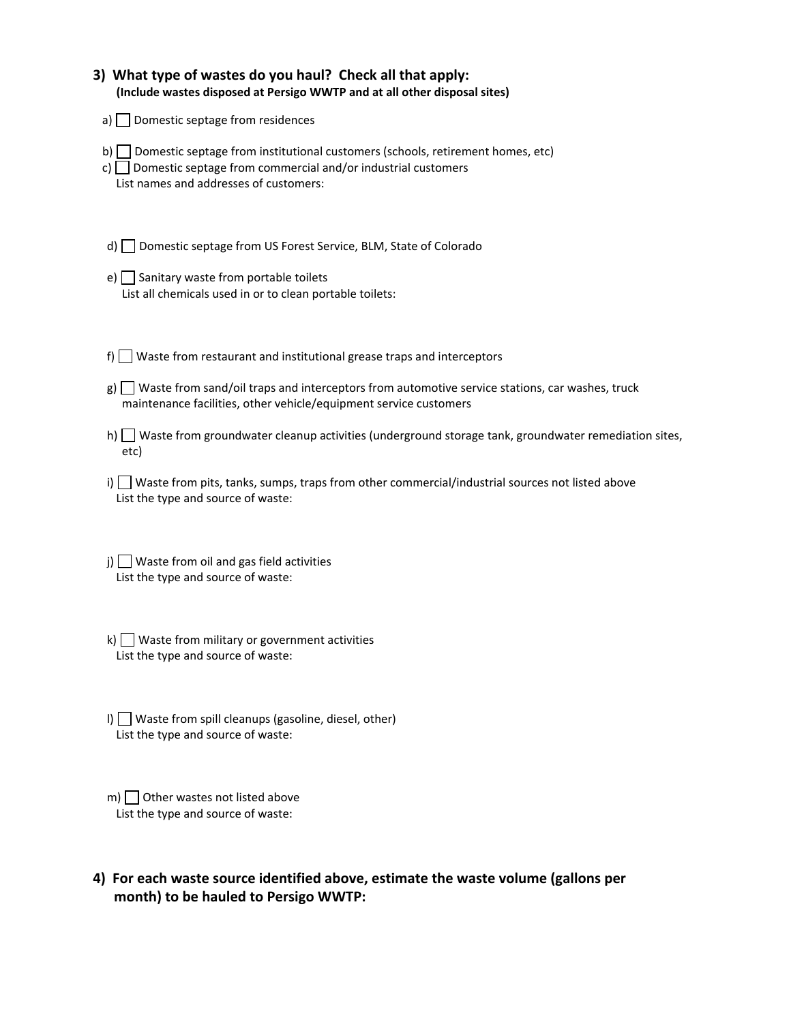| 3) What type of wastes do you haul? Check all that apply:<br>(Include wastes disposed at Persigo WWTP and at all other disposal sites)                                                                         |
|----------------------------------------------------------------------------------------------------------------------------------------------------------------------------------------------------------------|
| a) $\Box$ Domestic septage from residences                                                                                                                                                                     |
| Domestic septage from institutional customers (schools, retirement homes, etc)<br>$\mathsf{b}$<br>Domestic septage from commercial and/or industrial customers<br>c)<br>List names and addresses of customers: |
| Domestic septage from US Forest Service, BLM, State of Colorado<br>d) l                                                                                                                                        |
| e) $\Box$ Sanitary waste from portable toilets<br>List all chemicals used in or to clean portable toilets:                                                                                                     |
| Waste from restaurant and institutional grease traps and interceptors<br>f) $\vert$                                                                                                                            |
| $g$ ) $\Box$ Waste from sand/oil traps and interceptors from automotive service stations, car washes, truck<br>maintenance facilities, other vehicle/equipment service customers                               |
| Waste from groundwater cleanup activities (underground storage tank, groundwater remediation sites,<br>h) l<br>etc)                                                                                            |
| Waste from pits, tanks, sumps, traps from other commercial/industrial sources not listed above<br>i) l<br>List the type and source of waste:                                                                   |
| $j)$ Waste from oil and gas field activities<br>List the type and source of waste:                                                                                                                             |
| Waste from military or government activities<br>k) I<br>List the type and source of waste:                                                                                                                     |
| $\Box$ Waste from spill cleanups (gasoline, diesel, other)<br>List the type and source of waste:                                                                                                               |
| Other wastes not listed above<br>m)                                                                                                                                                                            |

- List the type and source of waste:
- **4) For each waste source identified above, estimate the waste volume (gallons per month) to be hauled to Persigo WWTP:**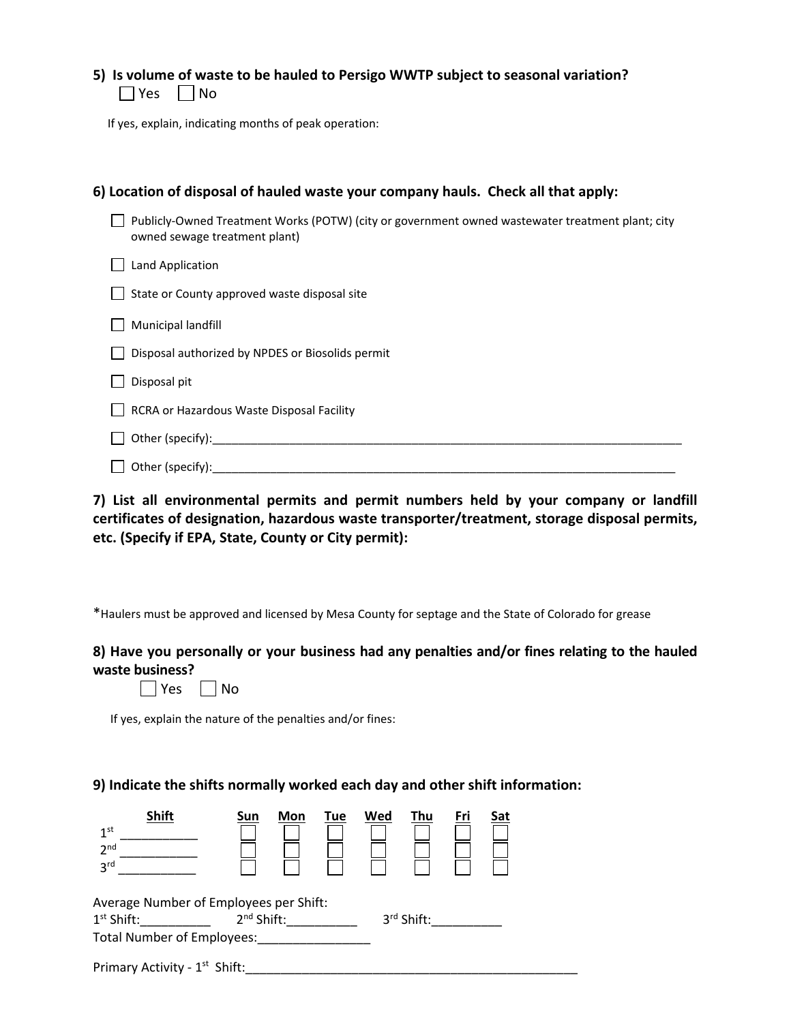|               |  | 5) Is volume of waste to be hauled to Persigo WWTP subject to seasonal variation? |  |  |
|---------------|--|-----------------------------------------------------------------------------------|--|--|
| $\Box$ $\Box$ |  |                                                                                   |  |  |

 $\Box$  Yes  $\Box$  No

If yes, explain, indicating months of peak operation:

| 6) Location of disposal of hauled waste your company hauls. Check all that apply:                                                 |
|-----------------------------------------------------------------------------------------------------------------------------------|
| Publicly-Owned Treatment Works (POTW) (city or government owned wastewater treatment plant; city<br>owned sewage treatment plant) |
| Land Application                                                                                                                  |
| State or County approved waste disposal site                                                                                      |
| Municipal landfill                                                                                                                |
| Disposal authorized by NPDES or Biosolids permit                                                                                  |
| Disposal pit                                                                                                                      |
| RCRA or Hazardous Waste Disposal Facility                                                                                         |
| Other (specify):                                                                                                                  |
| Other (specify):                                                                                                                  |

**7) List all environmental permits and permit numbers held by your company or landfill certificates of designation, hazardous waste transporter/treatment, storage disposal permits, etc. (Specify if EPA, State, County or City permit):** 

\*Haulers must be approved and licensed by Mesa County for septage and the State of Colorado for grease

### **8) Have you personally or your business had any penalties and/or fines relating to the hauled waste business?**

| Υρς |  | No |
|-----|--|----|
|-----|--|----|

If yes, explain the nature of the penalties and/or fines:

### **9) Indicate the shifts normally worked each day and other shift information:**

| <b>Shift</b><br>1 <sup>st</sup><br>2 <sup>nd</sup><br>3 <sup>rd</sup> | Sun                                    | Mon | Tue | Wed | Thu        | <u>Fri</u> | <u>Sat</u> |  |
|-----------------------------------------------------------------------|----------------------------------------|-----|-----|-----|------------|------------|------------|--|
|                                                                       | Average Number of Employees per Shift: |     |     |     |            |            |            |  |
| $1st$ Shift:                                                          | 2 <sup>nd</sup> Shift:                 |     |     |     | 3rd Shift: |            |            |  |
| <b>Total Number of Employees:</b>                                     |                                        |     |     |     |            |            |            |  |
| Primary Activity - 1 <sup>st</sup> Shift:                             |                                        |     |     |     |            |            |            |  |